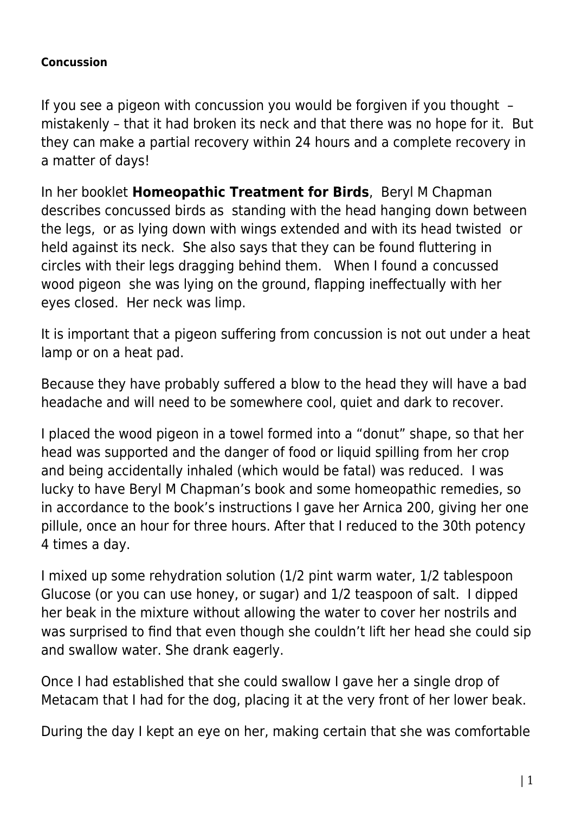## **Concussion**

If you see a pigeon with concussion you would be forgiven if you thought – mistakenly – that it had broken its neck and that there was no hope for it. But they can make a partial recovery within 24 hours and a complete recovery in a matter of days!

In her booklet **Homeopathic Treatment for Birds**, Beryl M Chapman describes concussed birds as standing with the head hanging down between the legs, or as lying down with wings extended and with its head twisted or held against its neck. She also says that they can be found fluttering in circles with their legs dragging behind them. When I found a concussed wood pigeon she was lying on the ground, flapping ineffectually with her eyes closed. Her neck was limp.

It is important that a pigeon suffering from concussion is not out under a heat lamp or on a heat pad.

Because they have probably suffered a blow to the head they will have a bad headache and will need to be somewhere cool, quiet and dark to recover.

I placed the wood pigeon in a towel formed into a "donut" shape, so that her head was supported and the danger of food or liquid spilling from her crop and being accidentally inhaled (which would be fatal) was reduced. I was lucky to have Beryl M Chapman's book and some homeopathic remedies, so in accordance to the book's instructions I gave her Arnica 200, giving her one pillule, once an hour for three hours. After that I reduced to the 30th potency 4 times a day.

I mixed up some rehydration solution (1/2 pint warm water, 1/2 tablespoon Glucose (or you can use honey, or sugar) and 1/2 teaspoon of salt. I dipped her beak in the mixture without allowing the water to cover her nostrils and was surprised to find that even though she couldn't lift her head she could sip and swallow water. She drank eagerly.

Once I had established that she could swallow I gave her a single drop of Metacam that I had for the dog, placing it at the very front of her lower beak.

During the day I kept an eye on her, making certain that she was comfortable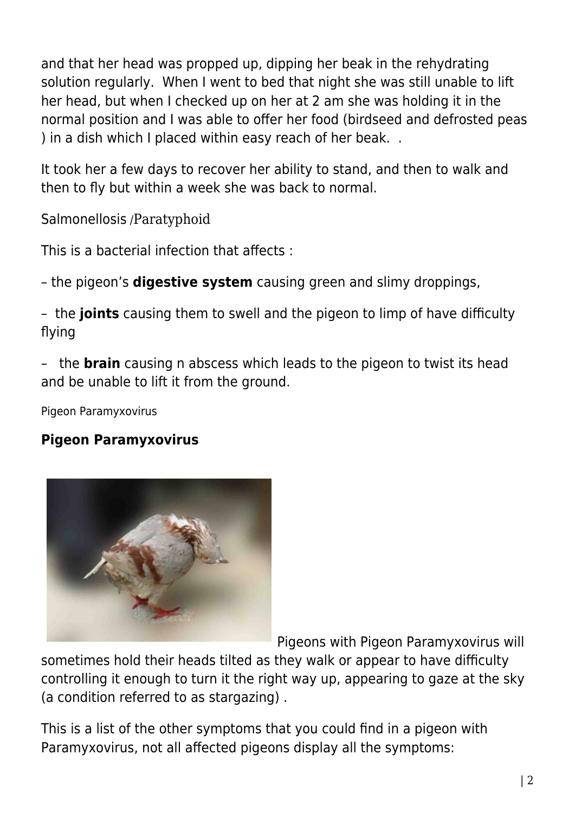and that her head was propped up, dipping her beak in the rehydrating solution regularly. When I went to bed that night she was still unable to lift her head, but when I checked up on her at 2 am she was holding it in the normal position and I was able to offer her food (birdseed and defrosted peas ) in a dish which I placed within easy reach of her beak. .

It took her a few days to recover her ability to stand, and then to walk and then to fly but within a week she was back to normal.

Salmonellosis /Paratyphoid

This is a bacterial infection that affects :

– the pigeon's **digestive system** causing green and slimy droppings,

– the **joints** causing them to swell and the pigeon to limp of have difficulty flying

– the **brain** causing n abscess which leads to the pigeon to twist its head and be unable to lift it from the ground.

Pigeon Paramyxovirus

## **Pigeon Paramyxovirus**



Pigeons with Pigeon Paramyxovirus will

sometimes hold their heads tilted as they walk or appear to have difficulty controlling it enough to turn it the right way up, appearing to gaze at the sky (a condition referred to as stargazing) .

This is a list of the other symptoms that you could find in a pigeon with Paramyxovirus, not all affected pigeons display all the symptoms: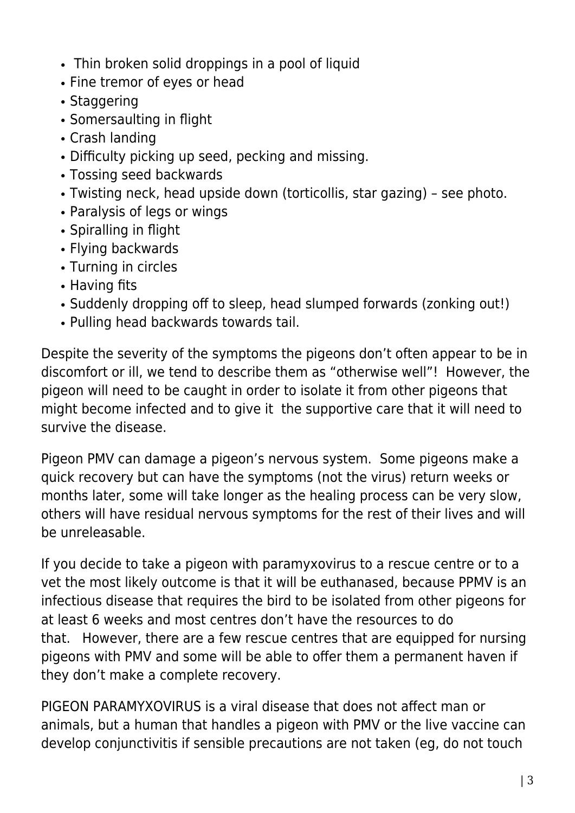- Thin broken solid droppings in a pool of liquid
- Fine tremor of eyes or head
- Staggering
- Somersaulting in flight
- Crash landing
- Difficulty picking up seed, pecking and missing.
- Tossing seed backwards
- Twisting neck, head upside down (torticollis, star gazing) see photo.
- Paralysis of legs or wings
- Spiralling in flight
- Flying backwards
- Turning in circles
- Having fits
- Suddenly dropping off to sleep, head slumped forwards (zonking out!)
- Pulling head backwards towards tail.

Despite the severity of the symptoms the pigeons don't often appear to be in discomfort or ill, we tend to describe them as "otherwise well"! However, the pigeon will need to be caught in order to isolate it from other pigeons that might become infected and to give it the supportive care that it will need to survive the disease.

Pigeon PMV can damage a pigeon's nervous system. Some pigeons make a quick recovery but can have the symptoms (not the virus) return weeks or months later, some will take longer as the healing process can be very slow, others will have residual nervous symptoms for the rest of their lives and will be unreleasable.

If you decide to take a pigeon with paramyxovirus to a rescue centre or to a vet the most likely outcome is that it will be euthanased, because PPMV is an infectious disease that requires the bird to be isolated from other pigeons for at least 6 weeks and most centres don't have the resources to do that. However, there are a few rescue centres that are equipped for nursing pigeons with PMV and some will be able to offer them a permanent haven if they don't make a complete recovery.

PIGEON PARAMYXOVIRUS is a viral disease that does not affect man or animals, but a human that handles a pigeon with PMV or the live vaccine can develop conjunctivitis if sensible precautions are not taken (eg, do not touch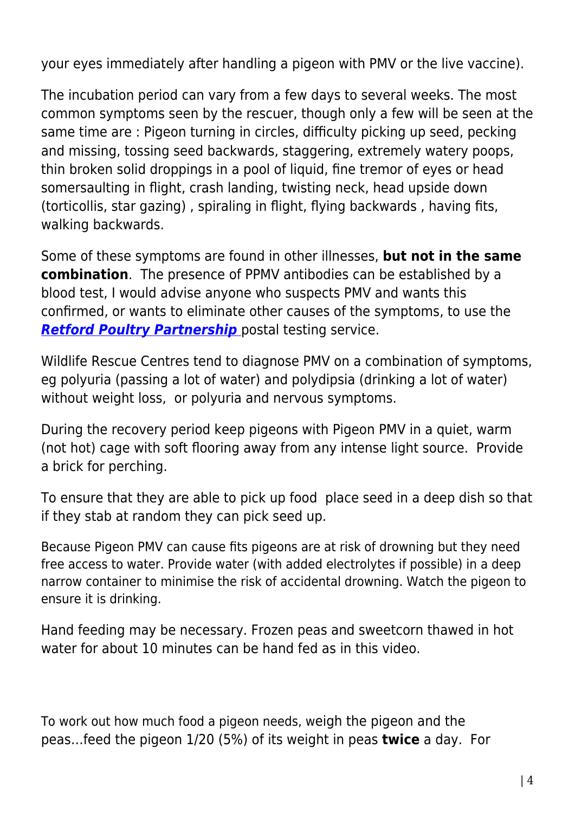your eyes immediately after handling a pigeon with PMV or the live vaccine).

The incubation period can vary from a few days to several weeks. The most common symptoms seen by the rescuer, though only a few will be seen at the same time are : Pigeon turning in circles, difficulty picking up seed, pecking and missing, tossing seed backwards, staggering, extremely watery poops, thin broken solid droppings in a pool of liquid, fine tremor of eyes or head somersaulting in flight, crash landing, twisting neck, head upside down (torticollis, star gazing) , spiraling in flight, flying backwards , having fits, walking backwards.

Some of these symptoms are found in other illnesses, **but not in the same combination**. The presence of PPMV antibodies can be established by a blood test, I would advise anyone who suspects PMV and wants this confirmed, or wants to eliminate other causes of the symptoms, to use the *[Retford Poultry Partnership](https://www.pigeonrescue.sirtobyservices.com/postaltesting.html)* [p](https://www.pigeonrescue.sirtobyservices.com/postaltesting.html)ostal testing service.

Wildlife Rescue Centres tend to diagnose PMV on a combination of symptoms, eg polyuria (passing a lot of water) and polydipsia (drinking a lot of water) without weight loss, or polyuria and nervous symptoms.

During the recovery period keep pigeons with Pigeon PMV in a quiet, warm (not hot) cage with soft flooring away from any intense light source. Provide a brick for perching.

To ensure that they are able to pick up food place seed in a deep dish so that if they stab at random they can pick seed up.

Because Pigeon PMV can cause fits pigeons are at risk of drowning but they need free access to water. Provide water (with added electrolytes if possible) in a deep narrow container to minimise the risk of accidental drowning. Watch the pigeon to ensure it is drinking.

Hand feeding may be necessary. Frozen peas and sweetcorn thawed in hot water for about 10 minutes can be hand fed as in this video.

To work out how much food a pigeon needs, weigh the pigeon and the peas…feed the pigeon 1/20 (5%) of its weight in peas **twice** a day. For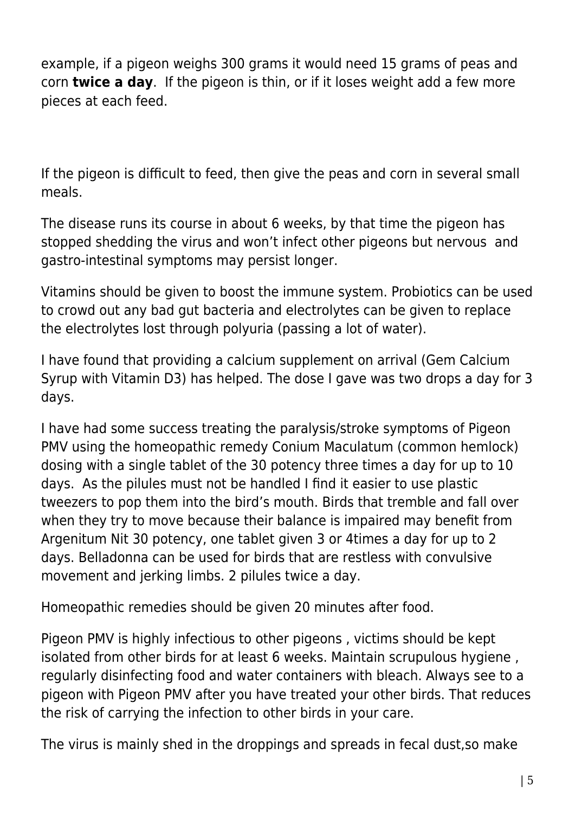example, if a pigeon weighs 300 grams it would need 15 grams of peas and corn **twice a day**. If the pigeon is thin, or if it loses weight add a few more pieces at each feed.

If the pigeon is difficult to feed, then give the peas and corn in several small meals.

The disease runs its course in about 6 weeks, by that time the pigeon has stopped shedding the virus and won't infect other pigeons but nervous and gastro-intestinal symptoms may persist longer.

Vitamins should be given to boost the immune system. Probiotics can be used to crowd out any bad gut bacteria and electrolytes can be given to replace the electrolytes lost through polyuria (passing a lot of water).

I have found that providing a calcium supplement on arrival (Gem Calcium Syrup with Vitamin D3) has helped. The dose I gave was two drops a day for 3 days.

I have had some success treating the paralysis/stroke symptoms of Pigeon PMV using the homeopathic remedy Conium Maculatum (common hemlock) dosing with a single tablet of the 30 potency three times a day for up to 10 days. As the pilules must not be handled I find it easier to use plastic tweezers to pop them into the bird's mouth. Birds that tremble and fall over when they try to move because their balance is impaired may benefit from Argenitum Nit 30 potency, one tablet given 3 or 4times a day for up to 2 days. Belladonna can be used for birds that are restless with convulsive movement and jerking limbs. 2 pilules twice a day.

Homeopathic remedies should be given 20 minutes after food.

Pigeon PMV is highly infectious to other pigeons , victims should be kept isolated from other birds for at least 6 weeks. Maintain scrupulous hygiene , regularly disinfecting food and water containers with bleach. Always see to a pigeon with Pigeon PMV after you have treated your other birds. That reduces the risk of carrying the infection to other birds in your care.

The virus is mainly shed in the droppings and spreads in fecal dust,so make